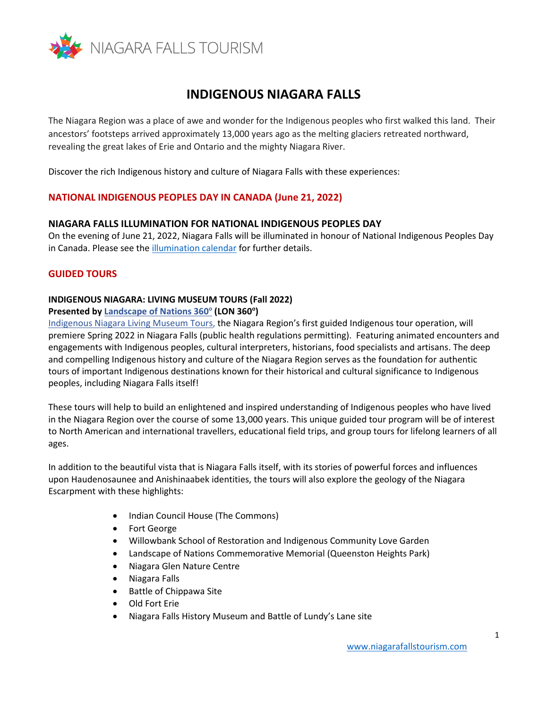

# **INDIGENOUS NIAGARA FALLS**

The Niagara Region was a place of awe and wonder for the Indigenous peoples who first walked this land. Their ancestors' footsteps arrived approximately 13,000 years ago as the melting glaciers retreated northward, revealing the great lakes of Erie and Ontario and the mighty Niagara River.

Discover the rich Indigenous history and culture of Niagara Falls with these experiences:

#### **NATIONAL INDIGENOUS PEOPLES DAY IN CANADA (June 21, 2022)**

#### **NIAGARA FALLS ILLUMINATION FOR NATIONAL INDIGENOUS PEOPLES DAY**

On the evening of June 21, 2022, Niagara Falls will be illuminated in honour of National Indigenous Peoples Day in Canada. Please see th[e illumination calendar](https://www.niagaraparks.com/events/event/falls-illumination) for further details.

#### **GUIDED TOURS**

## **INDIGENOUS NIAGARA: LIVING MUSEUM TOURS (Fall 2022) Presented b[y Landscape of Nations 360](http://www.lon360.ca/about.html)<sup>o</sup> (LON 360<sup>o</sup> )**

[Indigenous Niagara Living Museum Tours](http://www.lon360.ca/indigenous-niagara-living-museum-tours.html), the Niagara Region's first guided Indigenous tour operation, will premiere Spring 2022 in Niagara Falls (public health regulations permitting). Featuring animated encounters and engagements with Indigenous peoples, cultural interpreters, historians, food specialists and artisans. The deep and compelling Indigenous history and culture of the Niagara Region serves as the foundation for authentic tours of important Indigenous destinations known for their historical and cultural significance to Indigenous peoples, including Niagara Falls itself!

These tours will help to build an enlightened and inspired understanding of Indigenous peoples who have lived in the Niagara Region over the course of some 13,000 years. This unique guided tour program will be of interest to North American and international travellers, educational field trips, and group tours for lifelong learners of all ages.

In addition to the beautiful vista that is Niagara Falls itself, with its stories of powerful forces and influences upon Haudenosaunee and Anishinaabek identities, the tours will also explore the geology of the Niagara Escarpment with these highlights:

- Indian Council House (The Commons)
- Fort George
- Willowbank School of Restoration and Indigenous Community Love Garden
- Landscape of Nations Commemorative Memorial (Queenston Heights Park)
- Niagara Glen Nature Centre
- Niagara Falls
- Battle of Chippawa Site
- Old Fort Erie
- Niagara Falls History Museum and Battle of Lundy's Lane site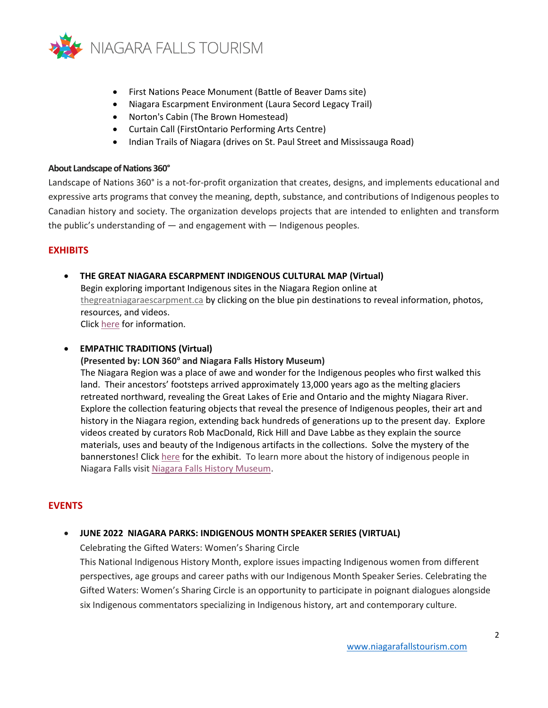

- First Nations Peace Monument (Battle of Beaver Dams site)
- Niagara Escarpment Environment (Laura Secord Legacy Trail)
- Norton's Cabin (The Brown Homestead)
- Curtain Call (FirstOntario Performing Arts Centre)
- Indian Trails of Niagara (drives on St. Paul Street and Mississauga Road)

#### **About Landscape of Nations 360°**

Landscape of Nations 360° is a not-for-profit organization that creates, designs, and implements educational and expressive arts programs that convey the meaning, depth, substance, and contributions of Indigenous peoples to Canadian history and society. The organization develops projects that are intended to enlighten and transform the public's understanding of — and engagement with — Indigenous peoples.

## **EXHIBITS**

## • **THE GREAT NIAGARA ESCARPMENT INDIGENOUS CULTURAL MAP (Virtual)** Begin exploring important Indigenous sites in the Niagara Region online at [thegreatniagaraescarpment.ca](http://www.thegreatniagaraescarpment.ca/) by clicking on the blue pin destinations to reveal information, photos, resources, and videos. Click [here](http://www.thegreatniagaraescarpment.ca/) for information.

## • **EMPATHIC TRADITIONS (Virtual)**

### **(Presented by: LON 360<sup>o</sup> and Niagara Falls History Museum)**

The Niagara Region was a place of awe and wonder for the Indigenous peoples who first walked this land. Their ancestors' footsteps arrived approximately 13,000 years ago as the melting glaciers retreated northward, revealing the Great Lakes of Erie and Ontario and the mighty Niagara River. Explore the collection featuring objects that reveal the presence of Indigenous peoples, their art and history in the Niagara region, extending back hundreds of generations up to the present day. Explore videos created by curators Rob MacDonald, Rick Hill and Dave Labbe as they explain the source materials, uses and beauty of the Indigenous artifacts in the collections. Solve the mystery of the bannerstones! Click [here](https://empathictraditions.ca/) for the exhibit. To learn more about the history of indigenous people in Niagara Falls visi[t Niagara Falls History Museum.](https://niagarafallsmuseums.ca/discover-our-history/reclaiming-cultural-identity/indigenous-history-a-brief-summary)

## **EVENTS**

#### • **JUNE 2022 NIAGARA PARKS: INDIGENOUS MONTH SPEAKER SERIES (VIRTUAL)**

Celebrating the Gifted Waters: Women's Sharing Circle

This National Indigenous History Month, explore issues impacting Indigenous women from different perspectives, age groups and career paths with our Indigenous Month Speaker Series. Celebrating the Gifted Waters: Women's Sharing Circle is an opportunity to participate in poignant dialogues alongside six Indigenous commentators specializing in Indigenous history, art and contemporary culture.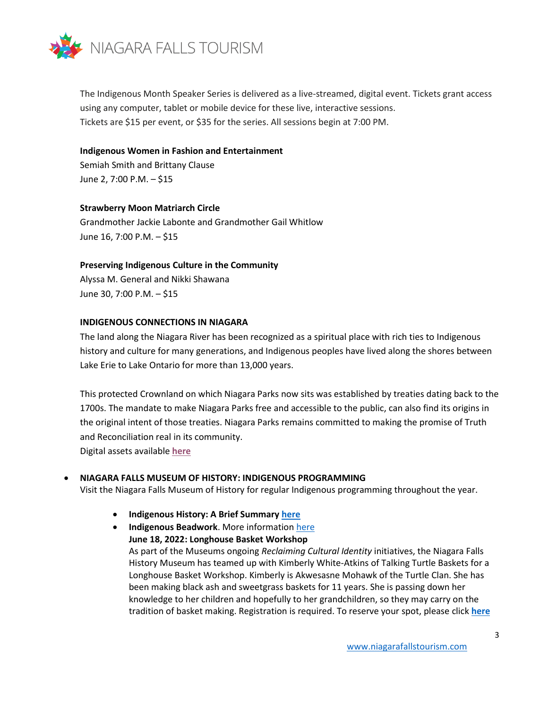

The Indigenous Month Speaker Series is delivered as a live-streamed, digital event. Tickets grant access using any computer, tablet or mobile device for these live, interactive sessions. Tickets are \$15 per event, or \$35 for the series. All sessions begin at 7:00 PM.

#### **Indigenous Women in Fashion and Entertainment**

Semiah Smith and Brittany Clause June 2, 7:00 P.M. – \$15

#### **Strawberry Moon Matriarch Circle**

Grandmother Jackie Labonte and Grandmother Gail Whitlow June 16, 7:00 P.M. – \$15

## **Preserving Indigenous Culture in the Community**

Alyssa M. General and Nikki Shawana June 30, 7:00 P.M. – \$15

## **INDIGENOUS CONNECTIONS IN NIAGARA**

The land along the Niagara River has been recognized as a spiritual place with rich ties to Indigenous history and culture for many generations, and Indigenous peoples have lived along the shores between Lake Erie to Lake Ontario for more than 13,000 years.

This protected Crownland on which Niagara Parks now sits was established by treaties dating back to the 1700s. The mandate to make Niagara Parks free and accessible to the public, can also find its origins in the original intent of those treaties. Niagara Parks remains committed to making the promise of Truth and Reconciliation real in its community.

Digital assets available **[here](https://www.dropbox.com/sh/72f1fu1nxbrhopb/AAB00pFYm2V7lQ_6rqvzfnika?dl=0)**

## • **NIAGARA FALLS MUSEUM OF HISTORY: INDIGENOUS PROGRAMMING**

Visit the Niagara Falls Museum of History for regular Indigenous programming throughout the year.

- **Indigenous History: A Brief Summar[y here](https://niagarafallsmuseums.ca/discover-our-history/reclaiming-cultural-identity/indigenous-history-a-brief-summary)**
- **Indigenous Beadwork**. More information [here](https://niagarafallsmuseums.ca/discover-our-history/reclaiming-cultural-identity/indigenous-beadwork-in-niagara) **June 18, 2022: Longhouse Basket Workshop** As part of the Museums ongoing *Reclaiming Cultural Identity* initiatives, the Niagara Falls History Museum has teamed up with Kimberly White-Atkins of Talking Turtle Baskets for a Longhouse Basket Workshop. Kimberly is Akwesasne Mohawk of the Turtle Clan. She has been making black ash and sweetgrass baskets for 11 years. She is passing down her knowledge to her children and hopefully to her grandchildren, so they may carry on the tradition of basket making. Registration is required. To reserve your spot, please click **[here](https://anc.ca.apm.activecommunities.com/niagarafalls/activity/search?onlineSiteId=0&activity_select_param=2&activity_category_ids=27&viewMode=list)**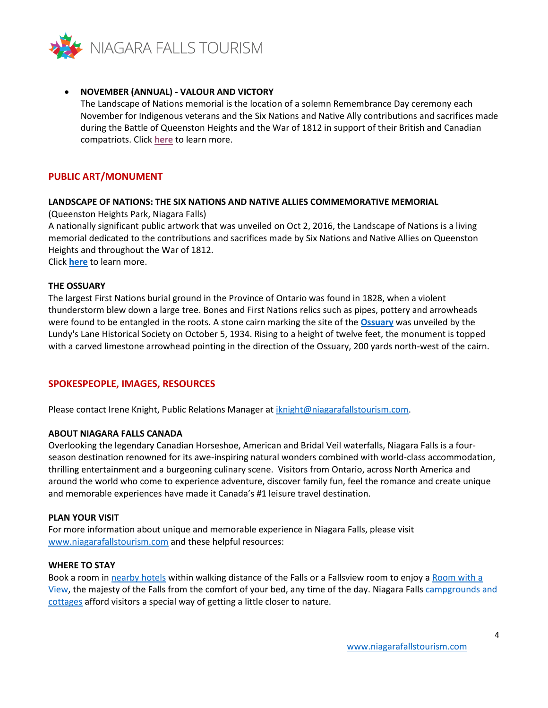

#### • **NOVEMBER (ANNUAL) - VALOUR AND VICTORY**

The Landscape of Nations memorial is the location of a solemn Remembrance Day ceremony each November for Indigenous veterans and the Six Nations and Native Ally contributions and sacrifices made during the Battle of Queenston Heights and the War of 1812 in support of their British and Canadian compatriots. Click **[here](https://www.niagaraparks.com/events/event/valour-victory-honouring-indigenous-veterans)** to learn more.

#### **PUBLIC ART/MONUMENT**

#### **LANDSCAPE OF NATIONS: THE SIX NATIONS AND NATIVE ALLIES COMMEMORATIVE MEMORIAL**

(Queenston Heights Park, Niagara Falls)

A nationally significant public artwork that was unveiled on Oct 2, 2016, the Landscape of Nations is a living memorial dedicated to the contributions and sacrifices made by Six Nations and Native Allies on Queenston Heights and throughout the War of 1812.

Click **[here](https://www.niagaraparks.com/things-to-do/landscape-of-nations-virtual-visit)** to learn more.

#### **THE OSSUARY**

The largest First Nations burial ground in the Province of Ontario was found in 1828, when a violent thunderstorm blew down a large tree. Bones and First Nations relics such as pipes, pottery and arrowheads were found to be entangled in the roots. A stone cairn marking the site of the **[Ossuary](https://niagarafallsmuseums.ca/discover-our-history/history-notes/ossuary.aspx)** was unveiled by the Lundy's Lane Historical Society on October 5, 1934. Rising to a height of twelve feet, the monument is topped with a carved limestone arrowhead pointing in the direction of the Ossuary, 200 yards north-west of the cairn.

#### **SPOKESPEOPLE, IMAGES, RESOURCES**

Please contact Irene Knight, Public Relations Manager at [iknight@niagarafallstourism.com.](mailto:iknight@niagarafallstourism.com)

#### **ABOUT NIAGARA FALLS CANADA**

Overlooking the legendary Canadian Horseshoe, American and Bridal Veil waterfalls, Niagara Falls is a fourseason destination renowned for its awe-inspiring natural wonders combined with world-class accommodation, thrilling entertainment and a burgeoning culinary scene. Visitors from Ontario, across North America and around the world who come to experience adventure, discover family fun, feel the romance and create unique and memorable experiences have made it Canada's #1 leisure travel destination.

#### **PLAN YOUR VISIT**

For more information about unique and memorable experience in Niagara Falls, please visit [www.niagarafallstourism.com](http://www.niagarafallstourism.com/) and these helpful resources:

#### **WHERE TO STAY**

Book a room in [nearby hotels](https://www.niagarafallstourism.com/sleep/hotels-motels/) within walking distance of the Falls or a Fallsview room to enjoy a [Room with a](https://www.niagarafallstourism.com/sleep/fallsview-hotels/)  [View,](https://www.niagarafallstourism.com/sleep/fallsview-hotels/) the majesty of the Falls from the comfort of your bed, any time of the day. Niagara Fall[s campgrounds and](https://www.niagarafallstourism.com/sleep/campgrounds-cottages/)  [cottages](https://www.niagarafallstourism.com/sleep/campgrounds-cottages/) afford visitors a special way of getting a little closer to nature.